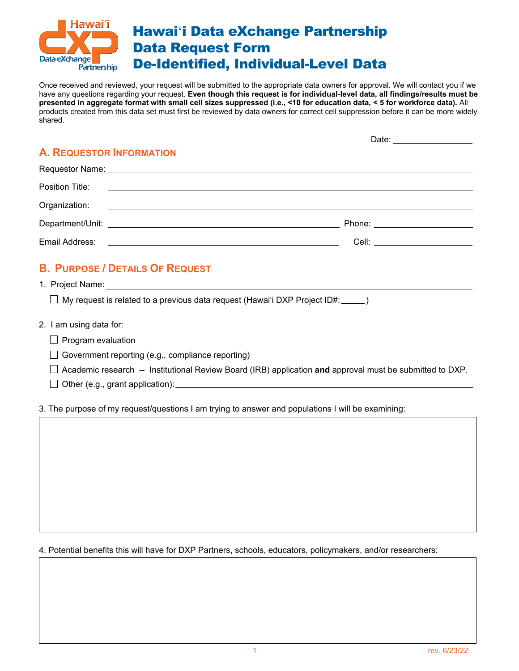

Once received and reviewed, your request will be submitted to the appropriate data owners for approval. We will contact you if we have any questions regarding your request. **Even though this request is for individual-level data, all findings/results must be presented in aggregate format with small cell sizes suppressed (i.e., <10 for education data, < 5 for workforce data).** All products created from this data set must first be reviewed by data owners for correct cell suppression before it can be more widely shared.

# **A. REQUESTOR INFORMATION**

| Requestor Name: Note of the contract of the contract of the contract of the contract of the contract of the contract of the contract of the contract of the contract of the contract of the contract of the contract of the co |                                                                                                                                                                                                                                |
|--------------------------------------------------------------------------------------------------------------------------------------------------------------------------------------------------------------------------------|--------------------------------------------------------------------------------------------------------------------------------------------------------------------------------------------------------------------------------|
|                                                                                                                                                                                                                                |                                                                                                                                                                                                                                |
| Organization:                                                                                                                                                                                                                  |                                                                                                                                                                                                                                |
|                                                                                                                                                                                                                                | Phone: the contract of the contract of the contract of the contract of the contract of the contract of the contract of the contract of the contract of the contract of the contract of the contract of the contract of the con |
| Email Address:                                                                                                                                                                                                                 | Cell: _________________________                                                                                                                                                                                                |

## **B. PURPOSE / DETAILS OF REQUEST**

1. Project Name:

 $\Box$  My request is related to a previous data request (Hawai'i DXP Project ID#: \_\_\_\_\_)

- 2. I am using data for:
	- $\Box$  Program evaluation
	- $\Box$  Government reporting (e.g., compliance reporting)
	- Academic research -- Institutional Review Board (IRB) application **and** approval must be submitted to DXP.
	- $\Box$  Other (e.g., grant application):

3. The purpose of my request/questions I am trying to answer and populations I will be examining:

4. Potential benefits this will have for DXP Partners, schools, educators, policymakers, and/or researchers:

Date: \_\_\_\_\_\_\_\_\_\_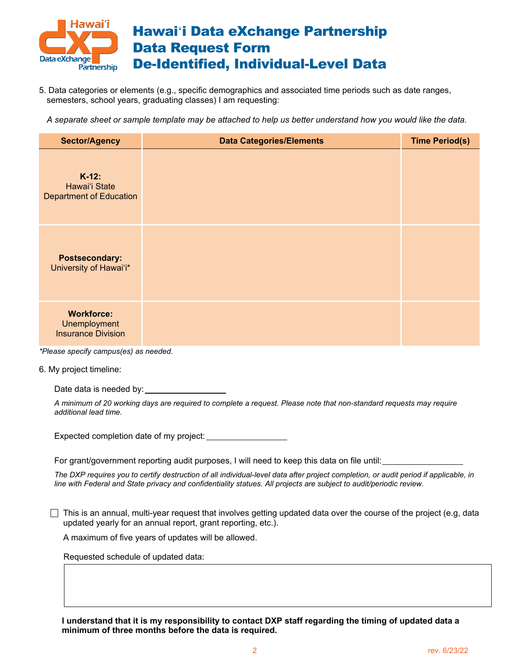

5. Data categories or elements (e.g., specific demographics and associated time periods such as date ranges, semesters, school years, graduating classes) I am requesting:

*A separate sheet or sample template may be attached to help us better understand how you would like the data.* 

| <b>Sector/Agency</b>                                                  | <b>Data Categories/Elements</b> | <b>Time Period(s)</b> |
|-----------------------------------------------------------------------|---------------------------------|-----------------------|
| $K-12$ :<br>Hawai'i State<br><b>Department of Education</b>           |                                 |                       |
| <b>Postsecondary:</b><br>University of Hawai'i*                       |                                 |                       |
| <b>Workforce:</b><br><b>Unemployment</b><br><b>Insurance Division</b> |                                 |                       |

*\*Please specify campus(es) as needed.*

6. My project timeline:

Date data is needed by:

*A minimum of 20 working days are required to complete a request. Please note that non-standard requests may require additional lead time.* 

Expected completion date of my project:

For grant/government reporting audit purposes, I will need to keep this data on file until:

*The DXP requires you to certify destruction of all individual-level data after project completion, or audit period if applicable, in line with Federal and State privacy and confidentiality statues. All projects are subject to audit/periodic review.*

 $\Box$  This is an annual, multi-year request that involves getting updated data over the course of the project (e.g, data updated yearly for an annual report, grant reporting, etc.).

A maximum of five years of updates will be allowed.

Requested schedule of updated data:

**I understand that it is my responsibility to contact DXP staff regarding the timing of updated data a minimum of three months before the data is required.**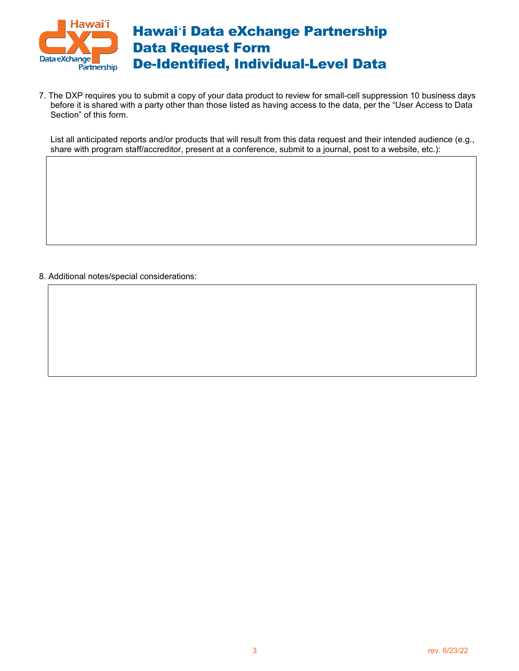

7. The DXP requires you to submit a copy of your data product to review for small-cell suppression 10 business days before it is shared with a party other than those listed as having access to the data, per the "User Access to Data Section" of this form.

List all anticipated reports and/or products that will result from this data request and their intended audience (e.g., share with program staff/accreditor, present at a conference, submit to a journal, post to a website, etc.):

8. Additional notes/special considerations: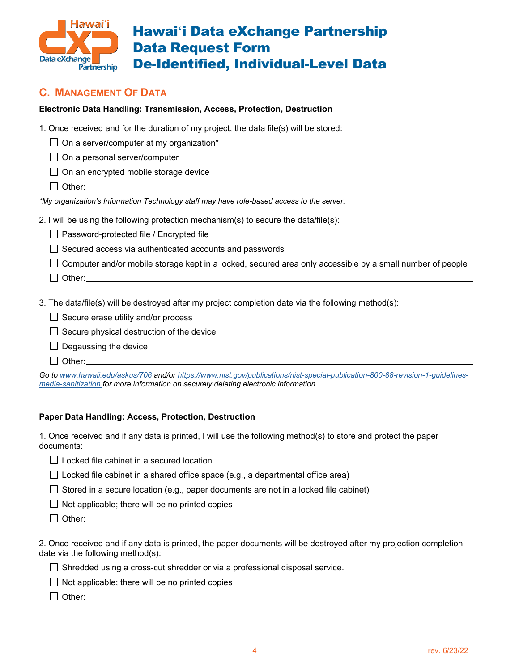

## **C. MANAGEMENT OF DATA**

#### **Electronic Data Handling: Transmission, Access, Protection, Destruction**

1. Once received and for the duration of my project, the data file(s) will be stored:

 $\Box$  On a server/computer at my organization\*

 $\Box$  On a personal server/computer

 $\Box$  On an encrypted mobile storage device

 $\Box$  Other:

*\*My organization's Information Technology staff may have role-based access to the server.*

2. I will be using the following protection mechanism(s) to secure the data/file(s):

□ Password-protected file / Encrypted file

 $\Box$  Secured access via authenticated accounts and passwords

 $\Box$  Computer and/or mobile storage kept in a locked, secured area only accessible by a small number of people

 $\Box$  Other:

3. The data/file(s) will be destroyed after my project completion date via the following method(s):

 $\Box$  Secure erase utility and/or process

 $\Box$  Secure physical destruction of the device

 $\Box$  Degaussing the device

 $\Box$  Other:

*Go to www.hawaii.edu/askus/706 and/o[r https://www.nist.gov/publications/nist-special-publication-800-88-revision-1-guidelines](https://www.nist.gov/publications/nist-special-publication-800-88-revision-1-guidelines-media-sanitization)[media-sanitization](https://www.nist.gov/publications/nist-special-publication-800-88-revision-1-guidelines-media-sanitization) for more information on securely deleting electronic information.*

#### **Paper Data Handling: Access, Protection, Destruction**

1. Once received and if any data is printed, I will use the following method(s) to store and protect the paper documents:

□ Locked file cabinet in a secured location

 $\Box$  Locked file cabinet in a shared office space (e.g., a departmental office area)

 $\Box$  Stored in a secure location (e.g., paper documents are not in a locked file cabinet)

 $\Box$  Not applicable; there will be no printed copies

Other:

2. Once received and if any data is printed, the paper documents will be destroyed after my projection completion date via the following method(s):

 $\Box$  Shredded using a cross-cut shredder or via a professional disposal service.

 $\Box$  Not applicable; there will be no printed copies

 $\Box$  Other: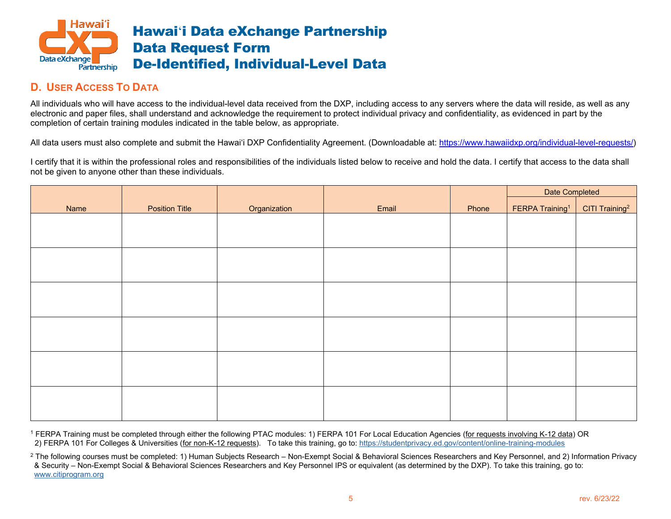

### **D. USER ACCESS TO DATA**

All individuals who will have access to the individual-level data received from the DXP, including access to any servers where the data will reside, as well as any electronic and paper files, shall understand and acknowledge the requirement to protect individual privacy and confidentiality, as evidenced in part by the completion of certain training modules indicated in the table below, as appropriate.

All data users must also complete and submit the Hawai'i DXP Confidentiality Agreement. (Downloadable at: [https://www.hawaiidxp.org/individual-level-requests/\)](https://www.hawaiidxp.org/individual-level-requests/)

I certify that it is within the professional roles and responsibilities of the individuals listed below to receive and hold the data. I certify that access to the data shall not be given to anyone other than these individuals.

|      |                       |              |       |       | Date Completed              |                            |
|------|-----------------------|--------------|-------|-------|-----------------------------|----------------------------|
| Name | <b>Position Title</b> | Organization | Email | Phone | FERPA Training <sup>1</sup> | CITI Training <sup>2</sup> |
|      |                       |              |       |       |                             |                            |
|      |                       |              |       |       |                             |                            |
|      |                       |              |       |       |                             |                            |
|      |                       |              |       |       |                             |                            |
|      |                       |              |       |       |                             |                            |
|      |                       |              |       |       |                             |                            |
|      |                       |              |       |       |                             |                            |
|      |                       |              |       |       |                             |                            |
|      |                       |              |       |       |                             |                            |
|      |                       |              |       |       |                             |                            |
|      |                       |              |       |       |                             |                            |
|      |                       |              |       |       |                             |                            |

<sup>1</sup> FERPA Training must be completed through either the following PTAC modules: 1) FERPA 101 For Local Education Agencies (for requests involving K-12 data) OR 2) FERPA 101 For Colleges & Universities (for non-K-12 requests). To take this training, go to: https://studentprivacy.ed.gov/content/online-training-modules

<sup>2</sup> The following courses must be completed: 1) Human Subjects Research – Non-Exempt Social & Behavioral Sciences Researchers and Key Personnel, and 2) Information Privacy & Security – Non-Exempt Social & Behavioral Sciences Researchers and Key Personnel IPS or equivalent (as determined by the DXP). To take this training, go to: [www.citiprogram.org](http://www.citiprogram.org/)